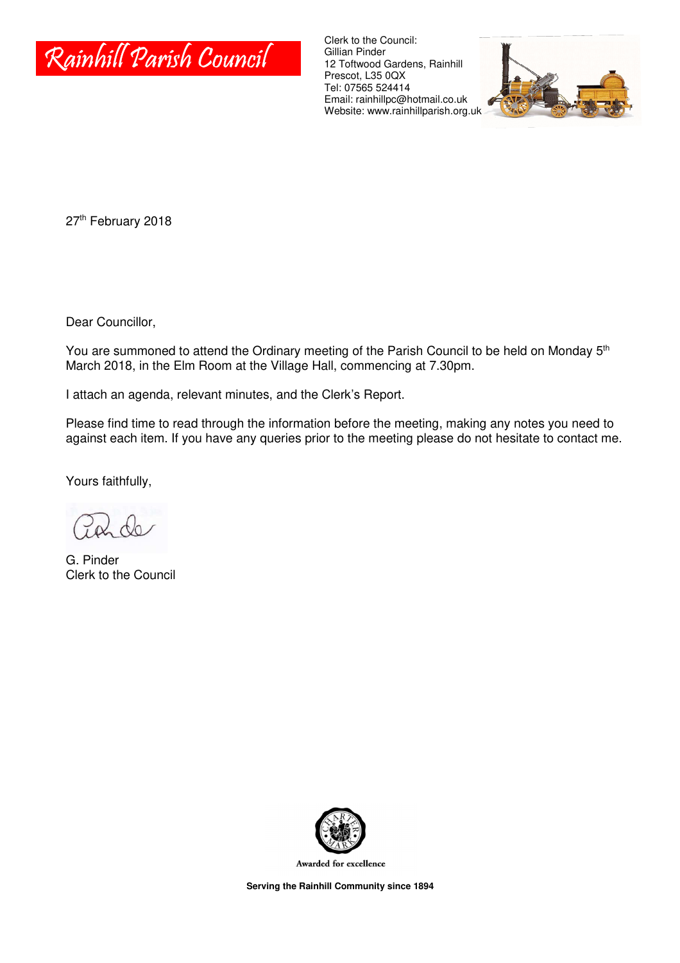

Clerk to the Council: Gillian Pinder 12 Toftwood Gardens, Rainhill Prescot, L35 0QX Tel: 07565 524414 Email: rainhillpc@hotmail.co.uk Website: www.rainhillparish.org.uk



27<sup>th</sup> February 2018

Dear Councillor,

You are summoned to attend the Ordinary meeting of the Parish Council to be held on Monday 5<sup>th</sup> March 2018, in the Elm Room at the Village Hall, commencing at 7.30pm.

I attach an agenda, relevant minutes, and the Clerk's Report.

Please find time to read through the information before the meeting, making any notes you need to against each item. If you have any queries prior to the meeting please do not hesitate to contact me.

Yours faithfully,

G. Pinder Clerk to the Council



Awarded for excellence

**Serving the Rainhill Community since 1894**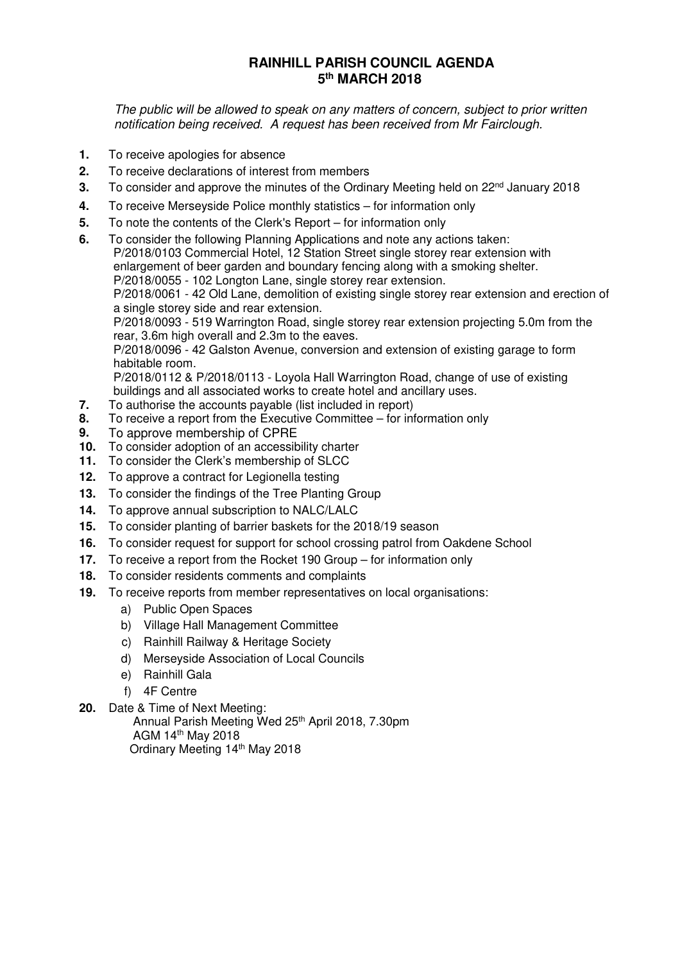## **RAINHILL PARISH COUNCIL AGENDA 5 th MARCH 2018**

The public will be allowed to speak on any matters of concern, subject to prior written notification being received. A request has been received from Mr Fairclough.

- **1.** To receive apologies for absence
- **2.** To receive declarations of interest from members
- **3.** To consider and approve the minutes of the Ordinary Meeting held on 22<sup>nd</sup> January 2018
- **4.** To receive Merseyside Police monthly statistics for information only
- **5.** To note the contents of the Clerk's Report for information only
- **6.** To consider the following Planning Applications and note any actions taken:

P/2018/0103 Commercial Hotel, 12 Station Street single storey rear extension with enlargement of beer garden and boundary fencing along with a smoking shelter. P/2018/0055 - 102 Longton Lane, single storey rear extension.

P/2018/0061 - 42 Old Lane, demolition of existing single storey rear extension and erection of a single storey side and rear extension.

P/2018/0093 - 519 Warrington Road, single storey rear extension projecting 5.0m from the rear, 3.6m high overall and 2.3m to the eaves.

P/2018/0096 - 42 Galston Avenue, conversion and extension of existing garage to form habitable room.

P/2018/0112 & P/2018/0113 - Loyola Hall Warrington Road, change of use of existing buildings and all associated works to create hotel and ancillary uses.

- **7.** To authorise the accounts payable (list included in report)
- **8.** To receive a report from the Executive Committee for information only
- **9.** To approve membership of CPRE
- **10.** To consider adoption of an accessibility charter
- **11.** To consider the Clerk's membership of SLCC
- **12.** To approve a contract for Legionella testing
- **13.** To consider the findings of the Tree Planting Group
- **14.** To approve annual subscription to NALC/LALC
- **15.** To consider planting of barrier baskets for the 2018/19 season
- **16.** To consider request for support for school crossing patrol from Oakdene School
- **17.** To receive a report from the Rocket 190 Group for information only
- **18.** To consider residents comments and complaints
- **19.** To receive reports from member representatives on local organisations:
	- a) Public Open Spaces
	- b) Village Hall Management Committee
	- c) Rainhill Railway & Heritage Society
	- d) Merseyside Association of Local Councils
	- e) Rainhill Gala
	- f) 4F Centre
- **20.** Date & Time of Next Meeting:

Annual Parish Meeting Wed 25<sup>th</sup> April 2018, 7.30pm AGM 14th May 2018 Ordinary Meeting 14th May 2018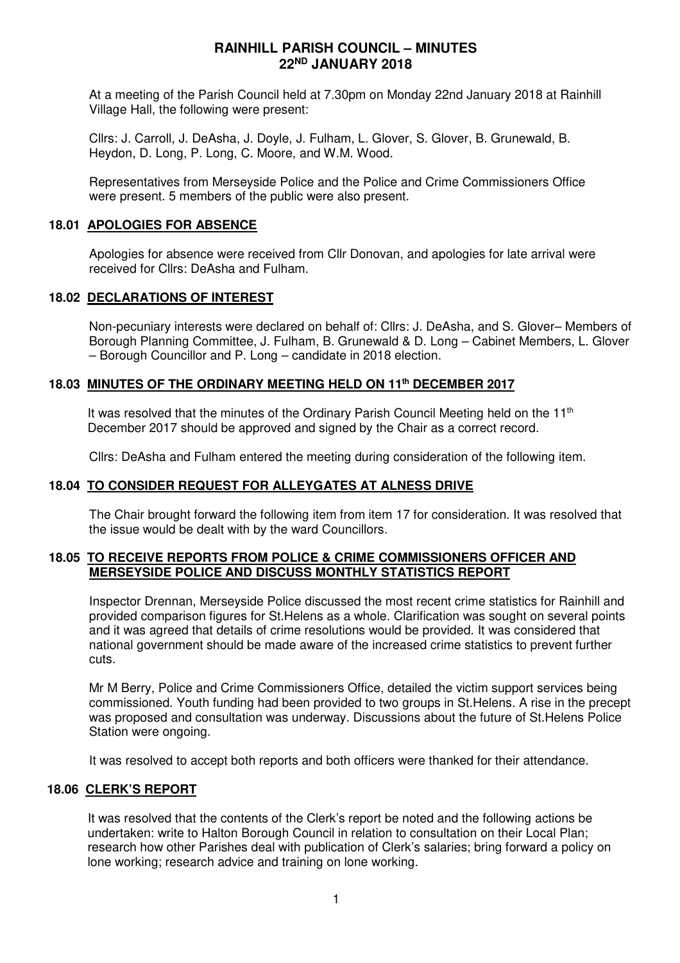At a meeting of the Parish Council held at 7.30pm on Monday 22nd January 2018 at Rainhill Village Hall, the following were present:

Cllrs: J. Carroll, J. DeAsha, J. Doyle, J. Fulham, L. Glover, S. Glover, B. Grunewald, B. Heydon, D. Long, P. Long, C. Moore, and W.M. Wood.

Representatives from Merseyside Police and the Police and Crime Commissioners Office were present. 5 members of the public were also present.

### **18.01 APOLOGIES FOR ABSENCE**

Apologies for absence were received from Cllr Donovan, and apologies for late arrival were received for Cllrs: DeAsha and Fulham.

### **18.02 DECLARATIONS OF INTEREST**

Non-pecuniary interests were declared on behalf of: Cllrs: J. DeAsha, and S. Glover– Members of Borough Planning Committee, J. Fulham, B. Grunewald & D. Long – Cabinet Members, L. Glover – Borough Councillor and P. Long – candidate in 2018 election.

## **18.03 MINUTES OF THE ORDINARY MEETING HELD ON 11th DECEMBER 2017**

It was resolved that the minutes of the Ordinary Parish Council Meeting held on the 11<sup>th</sup> December 2017 should be approved and signed by the Chair as a correct record.

Cllrs: DeAsha and Fulham entered the meeting during consideration of the following item.

## **18.04 TO CONSIDER REQUEST FOR ALLEYGATES AT ALNESS DRIVE**

The Chair brought forward the following item from item 17 for consideration. It was resolved that the issue would be dealt with by the ward Councillors.

### **18.05 TO RECEIVE REPORTS FROM POLICE & CRIME COMMISSIONERS OFFICER AND MERSEYSIDE POLICE AND DISCUSS MONTHLY STATISTICS REPORT**

Inspector Drennan, Merseyside Police discussed the most recent crime statistics for Rainhill and provided comparison figures for St.Helens as a whole. Clarification was sought on several points and it was agreed that details of crime resolutions would be provided. It was considered that national government should be made aware of the increased crime statistics to prevent further cuts.

Mr M Berry, Police and Crime Commissioners Office, detailed the victim support services being commissioned. Youth funding had been provided to two groups in St.Helens. A rise in the precept was proposed and consultation was underway. Discussions about the future of St.Helens Police Station were ongoing.

It was resolved to accept both reports and both officers were thanked for their attendance.

### **18.06 CLERK'S REPORT**

It was resolved that the contents of the Clerk's report be noted and the following actions be undertaken: write to Halton Borough Council in relation to consultation on their Local Plan; research how other Parishes deal with publication of Clerk's salaries; bring forward a policy on lone working; research advice and training on lone working.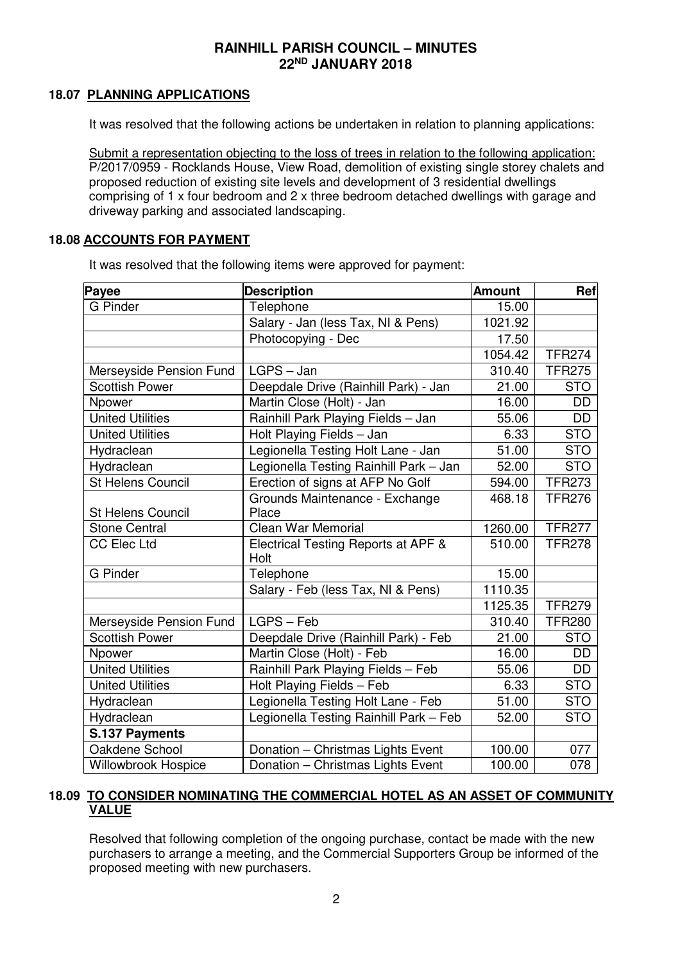### **18.07 PLANNING APPLICATIONS**

It was resolved that the following actions be undertaken in relation to planning applications:

Submit a representation objecting to the loss of trees in relation to the following application: P/2017/0959 - Rocklands House, View Road, demolition of existing single storey chalets and proposed reduction of existing site levels and development of 3 residential dwellings comprising of 1 x four bedroom and 2 x three bedroom detached dwellings with garage and driveway parking and associated landscaping.

### **18.08 ACCOUNTS FOR PAYMENT**

It was resolved that the following items were approved for payment:

| <b>Payee</b>             | <b>Description</b>                      | <b>Amount</b> | Ref           |  |
|--------------------------|-----------------------------------------|---------------|---------------|--|
| <b>G</b> Pinder          | Telephone                               | 15.00         |               |  |
|                          | Salary - Jan (less Tax, NI & Pens)      | 1021.92       |               |  |
|                          | Photocopying - Dec                      | 17.50         |               |  |
|                          |                                         | 1054.42       | <b>TFR274</b> |  |
| Merseyside Pension Fund  | LGPS - Jan                              | 310.40        | <b>TFR275</b> |  |
| Scottish Power           | Deepdale Drive (Rainhill Park) - Jan    | 21.00         | <b>STO</b>    |  |
| Npower                   | Martin Close (Holt) - Jan               | 16.00         | <b>DD</b>     |  |
| <b>United Utilities</b>  | Rainhill Park Playing Fields - Jan      | 55.06         | <b>DD</b>     |  |
| <b>United Utilities</b>  | Holt Playing Fields - Jan               | 6.33          | <b>STO</b>    |  |
| Hydraclean               | Legionella Testing Holt Lane - Jan      | 51.00         | <b>STO</b>    |  |
| Hydraclean               | Legionella Testing Rainhill Park - Jan  | 52.00         | <b>STO</b>    |  |
| <b>St Helens Council</b> | Erection of signs at AFP No Golf        | 594.00        | <b>TFR273</b> |  |
| <b>St Helens Council</b> | Grounds Maintenance - Exchange<br>Place | 468.18        | <b>TFR276</b> |  |
| <b>Stone Central</b>     | <b>Clean War Memorial</b>               | 1260.00       | <b>TFR277</b> |  |
| <b>CC Elec Ltd</b>       | Electrical Testing Reports at APF &     | 510.00        | <b>TFR278</b> |  |
|                          | Holt                                    |               |               |  |
| <b>G</b> Pinder          | Telephone                               | 15.00         |               |  |
|                          | Salary - Feb (less Tax, NI & Pens)      | 1110.35       |               |  |
|                          |                                         | 1125.35       | <b>TFR279</b> |  |
| Merseyside Pension Fund  | LGPS - Feb                              | 310.40        | <b>TFR280</b> |  |
| <b>Scottish Power</b>    | Deepdale Drive (Rainhill Park) - Feb    | 21.00         | <b>STO</b>    |  |
| Npower                   | Martin Close (Holt) - Feb               | 16.00         | DD            |  |
| <b>United Utilities</b>  | Rainhill Park Playing Fields - Feb      | 55.06         | <b>DD</b>     |  |
| <b>United Utilities</b>  | Holt Playing Fields - Feb               | 6.33          | <b>STO</b>    |  |
| Hydraclean               | Legionella Testing Holt Lane - Feb      | 51.00         | <b>STO</b>    |  |
| Hydraclean               | Legionella Testing Rainhill Park - Feb  | 52.00         | <b>STO</b>    |  |
| S.137 Payments           |                                         |               |               |  |
| Oakdene School           | Donation - Christmas Lights Event       | 100.00        | 077           |  |
| Willowbrook Hospice      | Donation - Christmas Lights Event       | 100.00        | 078           |  |

### **18.09 TO CONSIDER NOMINATING THE COMMERCIAL HOTEL AS AN ASSET OF COMMUNITY VALUE**

Resolved that following completion of the ongoing purchase, contact be made with the new purchasers to arrange a meeting, and the Commercial Supporters Group be informed of the proposed meeting with new purchasers.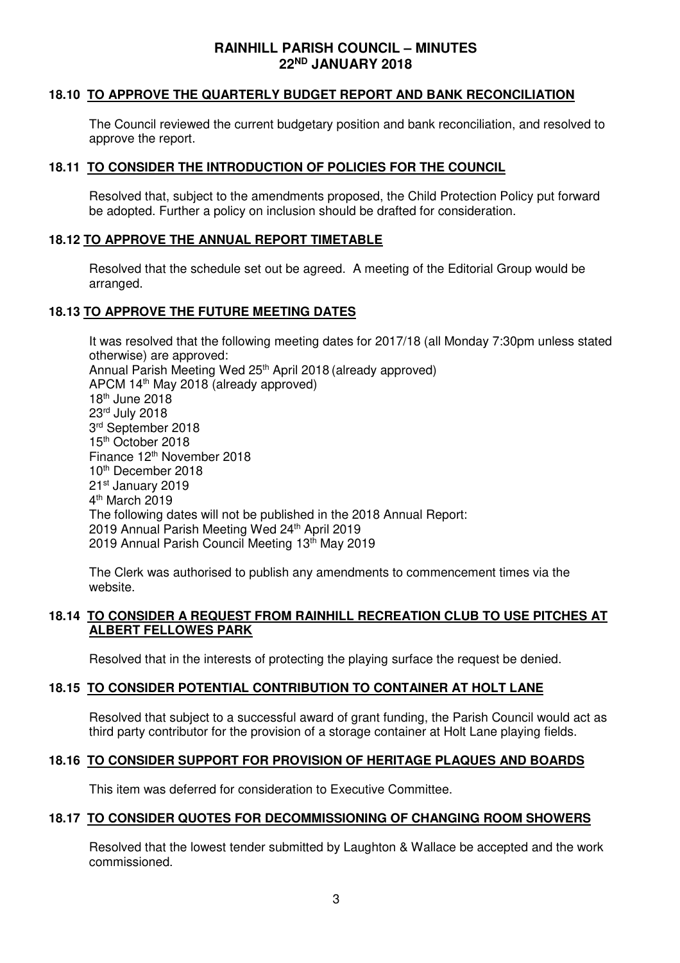### **18.10 TO APPROVE THE QUARTERLY BUDGET REPORT AND BANK RECONCILIATION**

The Council reviewed the current budgetary position and bank reconciliation, and resolved to approve the report.

### **18.11 TO CONSIDER THE INTRODUCTION OF POLICIES FOR THE COUNCIL**

Resolved that, subject to the amendments proposed, the Child Protection Policy put forward be adopted. Further a policy on inclusion should be drafted for consideration.

### **18.12 TO APPROVE THE ANNUAL REPORT TIMETABLE**

Resolved that the schedule set out be agreed. A meeting of the Editorial Group would be arranged.

### **18.13 TO APPROVE THE FUTURE MEETING DATES**

It was resolved that the following meeting dates for 2017/18 (all Monday 7:30pm unless stated otherwise) are approved: Annual Parish Meeting Wed 25<sup>th</sup> April 2018 (already approved) APCM 14th May 2018 (already approved) 18th June 2018 23rd July 2018 3 rd September 2018 15<sup>th</sup> October 2018 Finance 12<sup>th</sup> November 2018 10<sup>th</sup> December 2018 21st January 2019 4<sup>th</sup> March 2019 The following dates will not be published in the 2018 Annual Report: 2019 Annual Parish Meeting Wed 24th April 2019 2019 Annual Parish Council Meeting 13th May 2019

The Clerk was authorised to publish any amendments to commencement times via the website.

### **18.14 TO CONSIDER A REQUEST FROM RAINHILL RECREATION CLUB TO USE PITCHES AT ALBERT FELLOWES PARK**

Resolved that in the interests of protecting the playing surface the request be denied.

## **18.15 TO CONSIDER POTENTIAL CONTRIBUTION TO CONTAINER AT HOLT LANE**

Resolved that subject to a successful award of grant funding, the Parish Council would act as third party contributor for the provision of a storage container at Holt Lane playing fields.

### **18.16 TO CONSIDER SUPPORT FOR PROVISION OF HERITAGE PLAQUES AND BOARDS**

This item was deferred for consideration to Executive Committee.

### **18.17 TO CONSIDER QUOTES FOR DECOMMISSIONING OF CHANGING ROOM SHOWERS**

Resolved that the lowest tender submitted by Laughton & Wallace be accepted and the work commissioned.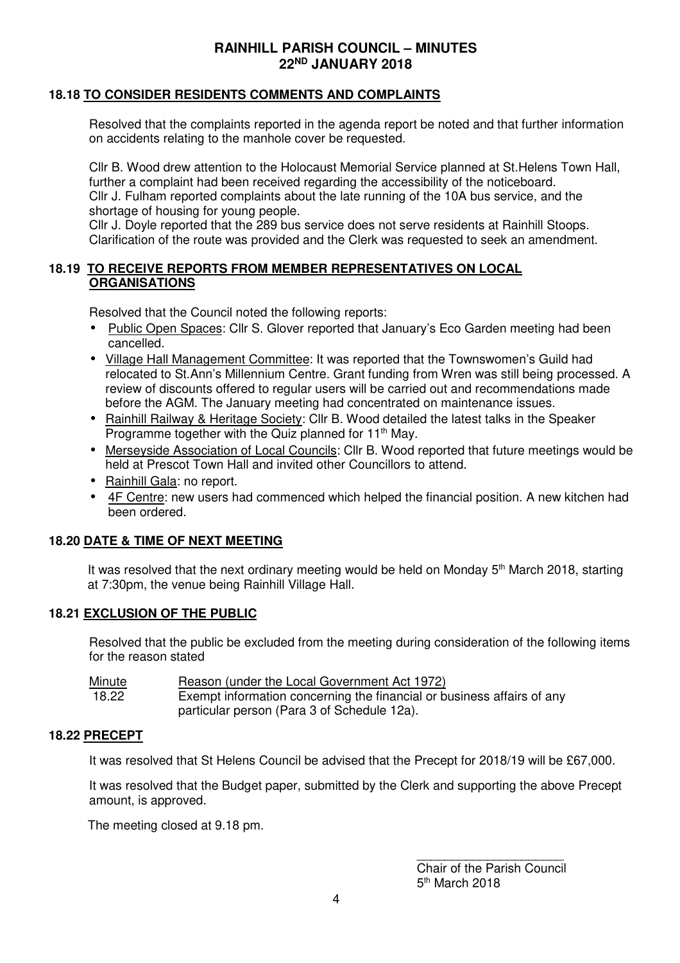## **18.18 TO CONSIDER RESIDENTS COMMENTS AND COMPLAINTS**

Resolved that the complaints reported in the agenda report be noted and that further information on accidents relating to the manhole cover be requested.

Cllr B. Wood drew attention to the Holocaust Memorial Service planned at St.Helens Town Hall, further a complaint had been received regarding the accessibility of the noticeboard. Cllr J. Fulham reported complaints about the late running of the 10A bus service, and the shortage of housing for young people.

Cllr J. Doyle reported that the 289 bus service does not serve residents at Rainhill Stoops. Clarification of the route was provided and the Clerk was requested to seek an amendment.

### **18.19 TO RECEIVE REPORTS FROM MEMBER REPRESENTATIVES ON LOCAL ORGANISATIONS**

Resolved that the Council noted the following reports:

- Public Open Spaces: Cllr S. Glover reported that January's Eco Garden meeting had been cancelled.
- Village Hall Management Committee: It was reported that the Townswomen's Guild had relocated to St.Ann's Millennium Centre. Grant funding from Wren was still being processed. A review of discounts offered to regular users will be carried out and recommendations made before the AGM. The January meeting had concentrated on maintenance issues.
- Rainhill Railway & Heritage Society: Cllr B. Wood detailed the latest talks in the Speaker Programme together with the Quiz planned for 11<sup>th</sup> May.
- Merseyside Association of Local Councils: Cllr B. Wood reported that future meetings would be held at Prescot Town Hall and invited other Councillors to attend.
- Rainhill Gala: no report.
- 4F Centre: new users had commenced which helped the financial position. A new kitchen had been ordered.

## **18.20 DATE & TIME OF NEXT MEETING**

It was resolved that the next ordinary meeting would be held on Monday  $5<sup>th</sup>$  March 2018, starting at 7:30pm, the venue being Rainhill Village Hall.

## **18.21 EXCLUSION OF THE PUBLIC**

Resolved that the public be excluded from the meeting during consideration of the following items for the reason stated

| Minute | Reason (under the Local Government Act 1972)                           |
|--------|------------------------------------------------------------------------|
| 18.22  | Exempt information concerning the financial or business affairs of any |
|        | particular person (Para 3 of Schedule 12a).                            |

### **18.22 PRECEPT**

It was resolved that St Helens Council be advised that the Precept for 2018/19 will be £67,000.

It was resolved that the Budget paper, submitted by the Clerk and supporting the above Precept amount, is approved.

The meeting closed at 9.18 pm.

\_\_\_\_\_\_\_\_\_\_\_\_\_\_\_\_\_\_\_\_\_ Chair of the Parish Council 5<sup>th</sup> March 2018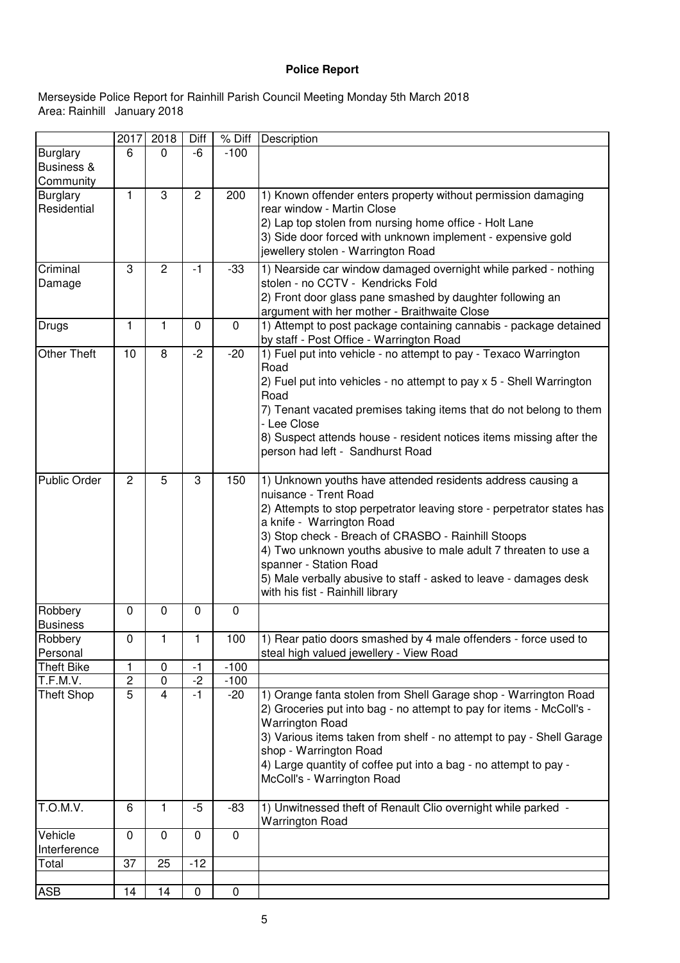## **Police Report**

#### Area: Rainhill January 2018 Merseyside Police Report for Rainhill Parish Council Meeting Monday 5th March 2018

|                               | 2017                               | 2018                        | Diff           | % Diff          | Description                                                                                                                                                                                                                                                                                                                                                                                                                                             |
|-------------------------------|------------------------------------|-----------------------------|----------------|-----------------|---------------------------------------------------------------------------------------------------------------------------------------------------------------------------------------------------------------------------------------------------------------------------------------------------------------------------------------------------------------------------------------------------------------------------------------------------------|
| <b>Burglary</b><br>Business & | 6                                  | $\Omega$                    | -6             | $-100$          |                                                                                                                                                                                                                                                                                                                                                                                                                                                         |
| Community<br><b>Burglary</b>  | 1                                  | 3                           | $\overline{c}$ | 200             | 1) Known offender enters property without permission damaging                                                                                                                                                                                                                                                                                                                                                                                           |
| Residential                   |                                    |                             |                |                 | rear window - Martin Close<br>2) Lap top stolen from nursing home office - Holt Lane<br>3) Side door forced with unknown implement - expensive gold<br>jewellery stolen - Warrington Road                                                                                                                                                                                                                                                               |
| Criminal<br>Damage            | 3                                  | $\overline{2}$              | $-1$           | $-33$           | 1) Nearside car window damaged overnight while parked - nothing<br>stolen - no CCTV - Kendricks Fold<br>2) Front door glass pane smashed by daughter following an<br>argument with her mother - Braithwaite Close                                                                                                                                                                                                                                       |
| Drugs                         | 1                                  | 1                           | $\mathbf 0$    | $\mathbf 0$     | 1) Attempt to post package containing cannabis - package detained<br>by staff - Post Office - Warrington Road                                                                                                                                                                                                                                                                                                                                           |
| <b>Other Theft</b>            | 10                                 | 8                           | $-2$           | $-20$           | 1) Fuel put into vehicle - no attempt to pay - Texaco Warrington<br>Road<br>2) Fuel put into vehicles - no attempt to pay x 5 - Shell Warrington<br>Road<br>7) Tenant vacated premises taking items that do not belong to them<br>- Lee Close<br>8) Suspect attends house - resident notices items missing after the<br>person had left - Sandhurst Road                                                                                                |
| <b>Public Order</b>           | $\overline{2}$                     | 5                           | 3              | 150             | 1) Unknown youths have attended residents address causing a<br>nuisance - Trent Road<br>2) Attempts to stop perpetrator leaving store - perpetrator states has<br>a knife - Warrington Road<br>3) Stop check - Breach of CRASBO - Rainhill Stoops<br>4) Two unknown youths abusive to male adult 7 threaten to use a<br>spanner - Station Road<br>5) Male verbally abusive to staff - asked to leave - damages desk<br>with his fist - Rainhill library |
| Robbery<br><b>Business</b>    | $\mathbf 0$                        | $\mathbf 0$                 | $\mathbf 0$    | $\mathbf 0$     |                                                                                                                                                                                                                                                                                                                                                                                                                                                         |
| Robbery<br>Personal           | 0                                  |                             | 1              | 100             | 1) Rear patio doors smashed by 4 male offenders - force used to<br>steal high valued jewellery - View Road                                                                                                                                                                                                                                                                                                                                              |
| <b>Theft Bike</b>             | 1                                  | $\pmb{0}$                   | $-1$           | $-100$          |                                                                                                                                                                                                                                                                                                                                                                                                                                                         |
| T.F.M.V.<br><b>Theft Shop</b> | $\boldsymbol{2}$<br>$\overline{5}$ | $\pmb{0}$<br>$\overline{4}$ | $-2$<br>$-1$   | $-100$<br>$-20$ | 1) Orange fanta stolen from Shell Garage shop - Warrington Road<br>2) Groceries put into bag - no attempt to pay for items - McColl's -<br><b>Warrington Road</b><br>3) Various items taken from shelf - no attempt to pay - Shell Garage<br>shop - Warrington Road<br>4) Large quantity of coffee put into a bag - no attempt to pay -<br>McColl's - Warrington Road                                                                                   |
| T.O.M.V.                      | 6                                  | 1                           | $-5$           | $-83$           | 1) Unwitnessed theft of Renault Clio overnight while parked -<br><b>Warrington Road</b>                                                                                                                                                                                                                                                                                                                                                                 |
| Vehicle<br>Interference       | $\mathbf 0$                        | $\mathbf 0$                 | $\mathbf 0$    | $\mathbf 0$     |                                                                                                                                                                                                                                                                                                                                                                                                                                                         |
| Total                         | 37                                 | 25                          | $-12$          |                 |                                                                                                                                                                                                                                                                                                                                                                                                                                                         |
| ASB                           | 14                                 | 14                          | 0              | $\pmb{0}$       |                                                                                                                                                                                                                                                                                                                                                                                                                                                         |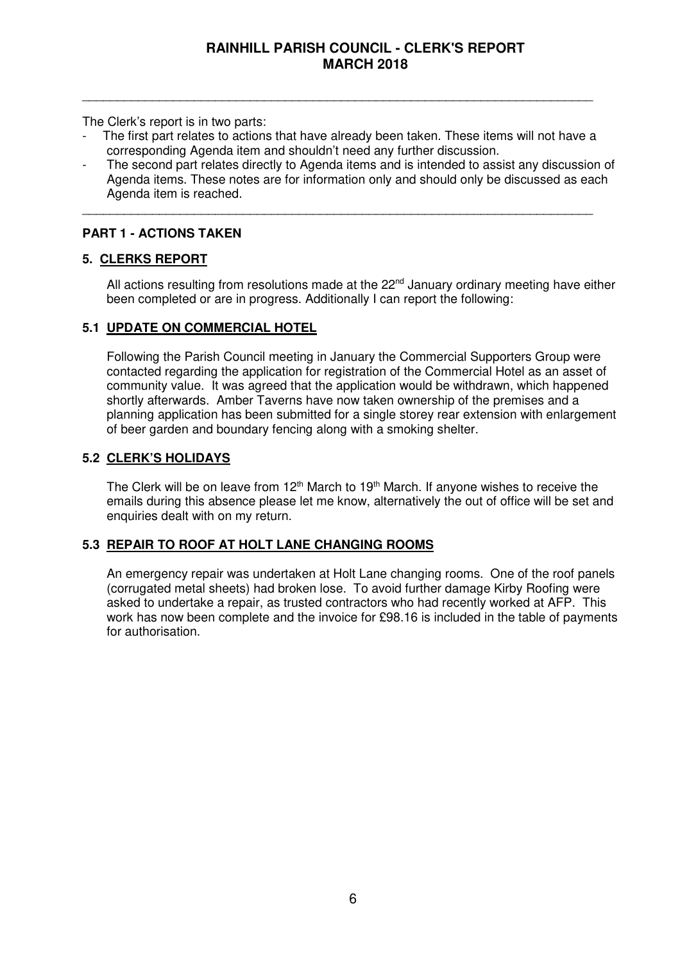The Clerk's report is in two parts:

The first part relates to actions that have already been taken. These items will not have a corresponding Agenda item and shouldn't need any further discussion.

\_\_\_\_\_\_\_\_\_\_\_\_\_\_\_\_\_\_\_\_\_\_\_\_\_\_\_\_\_\_\_\_\_\_\_\_\_\_\_\_\_\_\_\_\_\_\_\_\_\_\_\_\_\_\_\_\_\_\_\_\_\_\_\_\_\_\_\_\_\_\_\_\_

\_\_\_\_\_\_\_\_\_\_\_\_\_\_\_\_\_\_\_\_\_\_\_\_\_\_\_\_\_\_\_\_\_\_\_\_\_\_\_\_\_\_\_\_\_\_\_\_\_\_\_\_\_\_\_\_\_\_\_\_\_\_\_\_\_\_\_\_\_\_\_\_\_

The second part relates directly to Agenda items and is intended to assist any discussion of Agenda items. These notes are for information only and should only be discussed as each Agenda item is reached.

## **PART 1 - ACTIONS TAKEN**

### **5. CLERKS REPORT**

All actions resulting from resolutions made at the  $22<sup>nd</sup>$  January ordinary meeting have either been completed or are in progress. Additionally I can report the following:

### **5.1 UPDATE ON COMMERCIAL HOTEL**

Following the Parish Council meeting in January the Commercial Supporters Group were contacted regarding the application for registration of the Commercial Hotel as an asset of community value. It was agreed that the application would be withdrawn, which happened shortly afterwards. Amber Taverns have now taken ownership of the premises and a planning application has been submitted for a single storey rear extension with enlargement of beer garden and boundary fencing along with a smoking shelter.

## **5.2 CLERK'S HOLIDAYS**

The Clerk will be on leave from  $12<sup>th</sup>$  March to  $19<sup>th</sup>$  March. If anyone wishes to receive the emails during this absence please let me know, alternatively the out of office will be set and enquiries dealt with on my return.

### **5.3 REPAIR TO ROOF AT HOLT LANE CHANGING ROOMS**

 An emergency repair was undertaken at Holt Lane changing rooms. One of the roof panels (corrugated metal sheets) had broken lose. To avoid further damage Kirby Roofing were asked to undertake a repair, as trusted contractors who had recently worked at AFP. This work has now been complete and the invoice for £98.16 is included in the table of payments for authorisation.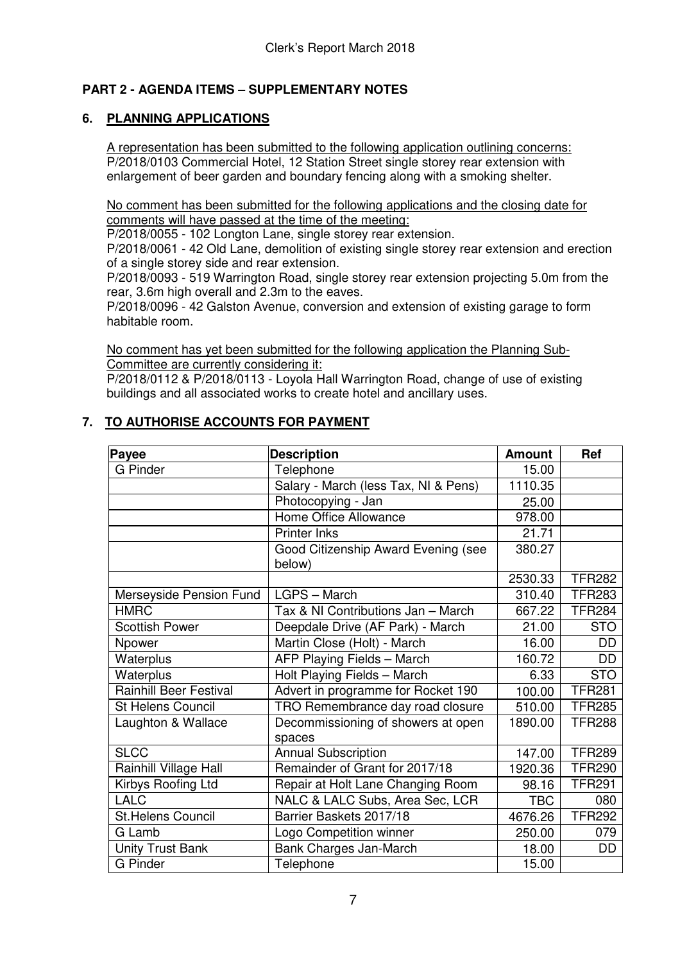## **PART 2 - AGENDA ITEMS – SUPPLEMENTARY NOTES**

## **6. PLANNING APPLICATIONS**

A representation has been submitted to the following application outlining concerns: P/2018/0103 Commercial Hotel, 12 Station Street single storey rear extension with enlargement of beer garden and boundary fencing along with a smoking shelter.

No comment has been submitted for the following applications and the closing date for comments will have passed at the time of the meeting:

P/2018/0055 - 102 Longton Lane, single storey rear extension.

P/2018/0061 - 42 Old Lane, demolition of existing single storey rear extension and erection of a single storey side and rear extension.

P/2018/0093 - 519 Warrington Road, single storey rear extension projecting 5.0m from the rear, 3.6m high overall and 2.3m to the eaves.

P/2018/0096 - 42 Galston Avenue, conversion and extension of existing garage to form habitable room.

No comment has yet been submitted for the following application the Planning Sub-Committee are currently considering it:

P/2018/0112 & P/2018/0113 - Loyola Hall Warrington Road, change of use of existing buildings and all associated works to create hotel and ancillary uses.

## **7. TO AUTHORISE ACCOUNTS FOR PAYMENT**

| Payee                         | <b>Description</b>                            |            |               |
|-------------------------------|-----------------------------------------------|------------|---------------|
| <b>G</b> Pinder               | Telephone                                     | 15.00      |               |
|                               | Salary - March (less Tax, NI & Pens)          | 1110.35    |               |
|                               | Photocopying - Jan                            | 25.00      |               |
|                               | Home Office Allowance                         | 978.00     |               |
|                               | <b>Printer Inks</b>                           | 21.71      |               |
|                               | Good Citizenship Award Evening (see<br>below) | 380.27     |               |
|                               |                                               | 2530.33    | <b>TFR282</b> |
| Merseyside Pension Fund       | LGPS - March                                  | 310.40     | <b>TFR283</b> |
| <b>HMRC</b>                   | Tax & NI Contributions Jan - March            | 667.22     | <b>TFR284</b> |
| <b>Scottish Power</b>         | Deepdale Drive (AF Park) - March              | 21.00      | <b>STO</b>    |
| Npower                        | Martin Close (Holt) - March                   | 16.00      | <b>DD</b>     |
| Waterplus                     | AFP Playing Fields - March                    | 160.72     | <b>DD</b>     |
| Waterplus                     | Holt Playing Fields - March                   | 6.33       | <b>STO</b>    |
| <b>Rainhill Beer Festival</b> | Advert in programme for Rocket 190            | 100.00     | <b>TFR281</b> |
| St Helens Council             | TRO Remembrance day road closure              | 510.00     | <b>TFR285</b> |
| Laughton & Wallace            | Decommissioning of showers at open<br>spaces  | 1890.00    | <b>TFR288</b> |
| <b>SLCC</b>                   | <b>Annual Subscription</b>                    | 147.00     | <b>TFR289</b> |
| Rainhill Village Hall         | Remainder of Grant for 2017/18                | 1920.36    | <b>TFR290</b> |
| Kirbys Roofing Ltd            | Repair at Holt Lane Changing Room             | 98.16      | <b>TFR291</b> |
| <b>LALC</b>                   | NALC & LALC Subs, Area Sec, LCR               | <b>TBC</b> | 080           |
| <b>St.Helens Council</b>      | Barrier Baskets 2017/18                       | 4676.26    | <b>TFR292</b> |
| G Lamb                        | Logo Competition winner                       | 250.00     | 079           |
| <b>Unity Trust Bank</b>       | Bank Charges Jan-March                        | 18.00      | DD            |
| <b>G</b> Pinder               | Telephone                                     | 15.00      |               |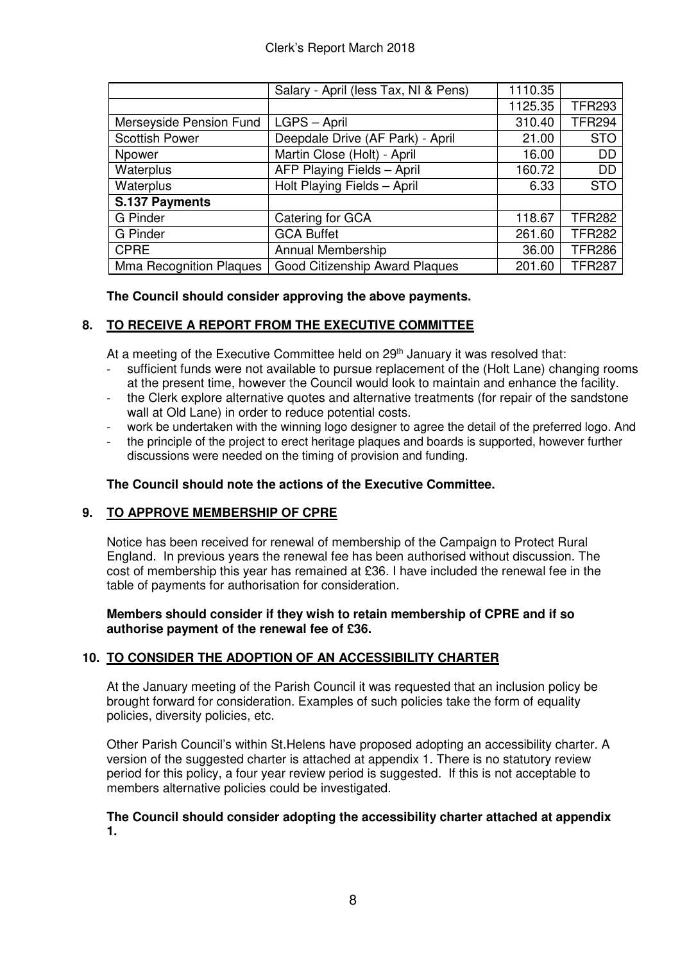|                         | Salary - April (less Tax, NI & Pens)  | 1110.35 |               |
|-------------------------|---------------------------------------|---------|---------------|
|                         |                                       | 1125.35 | <b>TFR293</b> |
| Merseyside Pension Fund | LGPS - April                          | 310.40  | <b>TFR294</b> |
| <b>Scottish Power</b>   | Deepdale Drive (AF Park) - April      | 21.00   | <b>STO</b>    |
| Npower                  | Martin Close (Holt) - April           | 16.00   | <b>DD</b>     |
| Waterplus               | AFP Playing Fields - April            | 160.72  | <b>DD</b>     |
| Waterplus               | Holt Playing Fields - April           | 6.33    | <b>STO</b>    |
| S.137 Payments          |                                       |         |               |
| <b>G</b> Pinder         | Catering for GCA                      | 118.67  | <b>TFR282</b> |
| <b>G</b> Pinder         | <b>GCA Buffet</b>                     | 261.60  | <b>TFR282</b> |
| <b>CPRE</b>             | <b>Annual Membership</b>              | 36.00   | <b>TFR286</b> |
| Mma Recognition Plaques | <b>Good Citizenship Award Plaques</b> | 201.60  | <b>TFR287</b> |

## **The Council should consider approving the above payments.**

## **8. TO RECEIVE A REPORT FROM THE EXECUTIVE COMMITTEE**

At a meeting of the Executive Committee held on 29<sup>th</sup> January it was resolved that:

- sufficient funds were not available to pursue replacement of the (Holt Lane) changing rooms at the present time, however the Council would look to maintain and enhance the facility.
- the Clerk explore alternative quotes and alternative treatments (for repair of the sandstone wall at Old Lane) in order to reduce potential costs.
- work be undertaken with the winning logo designer to agree the detail of the preferred logo. And
- the principle of the project to erect heritage plaques and boards is supported, however further discussions were needed on the timing of provision and funding.

## **The Council should note the actions of the Executive Committee.**

## **9. TO APPROVE MEMBERSHIP OF CPRE**

Notice has been received for renewal of membership of the Campaign to Protect Rural England. In previous years the renewal fee has been authorised without discussion. The cost of membership this year has remained at £36. I have included the renewal fee in the table of payments for authorisation for consideration.

### **Members should consider if they wish to retain membership of CPRE and if so authorise payment of the renewal fee of £36.**

## **10. TO CONSIDER THE ADOPTION OF AN ACCESSIBILITY CHARTER**

At the January meeting of the Parish Council it was requested that an inclusion policy be brought forward for consideration. Examples of such policies take the form of equality policies, diversity policies, etc.

Other Parish Council's within St.Helens have proposed adopting an accessibility charter. A version of the suggested charter is attached at appendix 1. There is no statutory review period for this policy, a four year review period is suggested. If this is not acceptable to members alternative policies could be investigated.

### **The Council should consider adopting the accessibility charter attached at appendix 1.**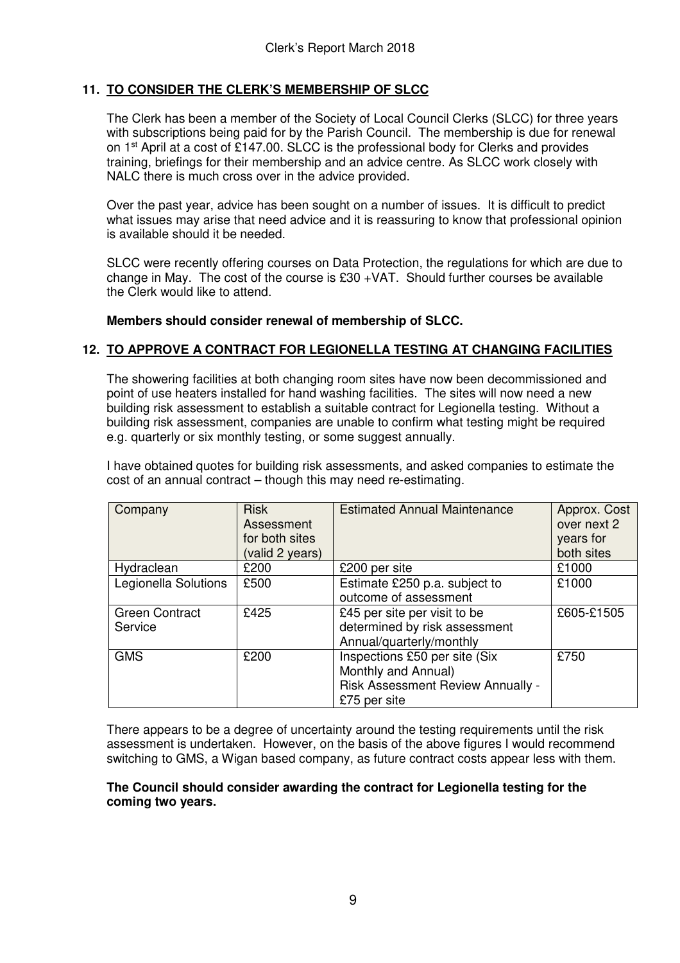## **11. TO CONSIDER THE CLERK'S MEMBERSHIP OF SLCC**

The Clerk has been a member of the Society of Local Council Clerks (SLCC) for three years with subscriptions being paid for by the Parish Council. The membership is due for renewal on 1st April at a cost of £147.00. SLCC is the professional body for Clerks and provides training, briefings for their membership and an advice centre. As SLCC work closely with NALC there is much cross over in the advice provided.

Over the past year, advice has been sought on a number of issues. It is difficult to predict what issues may arise that need advice and it is reassuring to know that professional opinion is available should it be needed.

SLCC were recently offering courses on Data Protection, the regulations for which are due to change in May. The cost of the course is £30 +VAT. Should further courses be available the Clerk would like to attend.

### **Members should consider renewal of membership of SLCC.**

### **12. TO APPROVE A CONTRACT FOR LEGIONELLA TESTING AT CHANGING FACILITIES**

The showering facilities at both changing room sites have now been decommissioned and point of use heaters installed for hand washing facilities. The sites will now need a new building risk assessment to establish a suitable contract for Legionella testing. Without a building risk assessment, companies are unable to confirm what testing might be required e.g. quarterly or six monthly testing, or some suggest annually.

I have obtained quotes for building risk assessments, and asked companies to estimate the cost of an annual contract – though this may need re-estimating.

| Company                          | <b>Risk</b><br>Assessment<br>for both sites<br>(valid 2 years) | <b>Estimated Annual Maintenance</b>                                                                       | Approx. Cost<br>over next 2<br>years for<br>both sites |
|----------------------------------|----------------------------------------------------------------|-----------------------------------------------------------------------------------------------------------|--------------------------------------------------------|
| Hydraclean                       | £200                                                           | £200 per site                                                                                             | £1000                                                  |
| Legionella Solutions             | £500                                                           | Estimate £250 p.a. subject to<br>outcome of assessment                                                    | £1000                                                  |
| <b>Green Contract</b><br>Service | £425                                                           | £45 per site per visit to be<br>determined by risk assessment<br>Annual/quarterly/monthly                 | £605-£1505                                             |
| <b>GMS</b>                       | £200                                                           | Inspections £50 per site (Six<br>Monthly and Annual)<br>Risk Assessment Review Annually -<br>£75 per site | £750                                                   |

There appears to be a degree of uncertainty around the testing requirements until the risk assessment is undertaken. However, on the basis of the above figures I would recommend switching to GMS, a Wigan based company, as future contract costs appear less with them.

### **The Council should consider awarding the contract for Legionella testing for the coming two years.**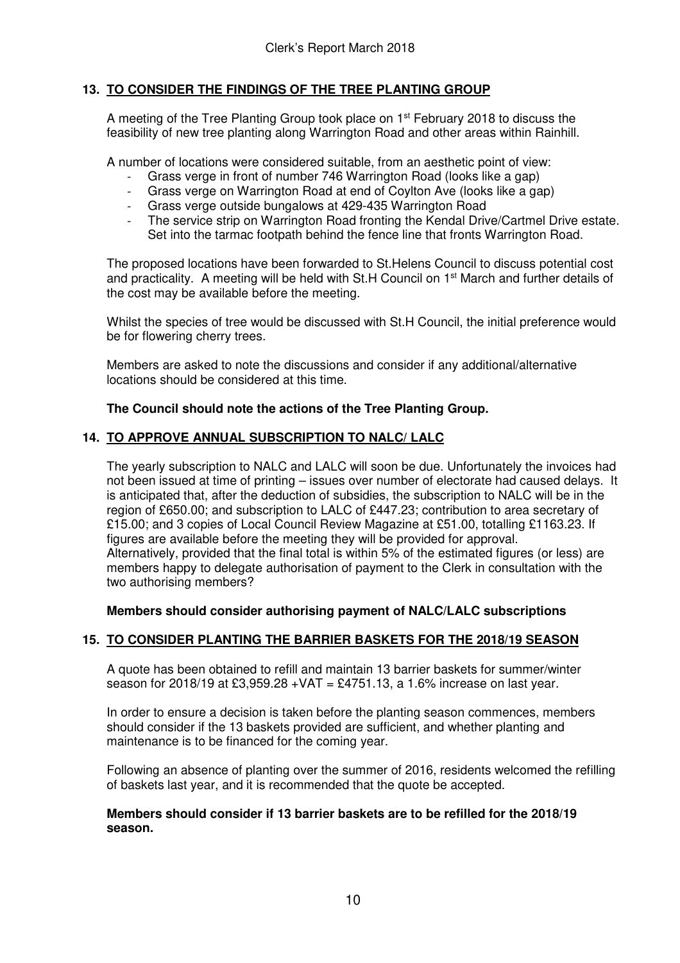## **13. TO CONSIDER THE FINDINGS OF THE TREE PLANTING GROUP**

A meeting of the Tree Planting Group took place on 1<sup>st</sup> February 2018 to discuss the feasibility of new tree planting along Warrington Road and other areas within Rainhill.

A number of locations were considered suitable, from an aesthetic point of view:

- Grass verge in front of number 746 Warrington Road (looks like a gap)
- Grass verge on Warrington Road at end of Coylton Ave (looks like a gap)
- Grass verge outside bungalows at 429-435 Warrington Road
- The service strip on Warrington Road fronting the Kendal Drive/Cartmel Drive estate. Set into the tarmac footpath behind the fence line that fronts Warrington Road.

The proposed locations have been forwarded to St.Helens Council to discuss potential cost and practicality. A meeting will be held with St.H Council on 1<sup>st</sup> March and further details of the cost may be available before the meeting.

Whilst the species of tree would be discussed with St.H Council, the initial preference would be for flowering cherry trees.

Members are asked to note the discussions and consider if any additional/alternative locations should be considered at this time.

## **The Council should note the actions of the Tree Planting Group.**

## **14. TO APPROVE ANNUAL SUBSCRIPTION TO NALC/ LALC**

The yearly subscription to NALC and LALC will soon be due. Unfortunately the invoices had not been issued at time of printing – issues over number of electorate had caused delays. It is anticipated that, after the deduction of subsidies, the subscription to NALC will be in the region of £650.00; and subscription to LALC of £447.23; contribution to area secretary of £15.00; and 3 copies of Local Council Review Magazine at £51.00, totalling £1163.23. If figures are available before the meeting they will be provided for approval. Alternatively, provided that the final total is within 5% of the estimated figures (or less) are members happy to delegate authorisation of payment to the Clerk in consultation with the two authorising members?

**Members should consider authorising payment of NALC/LALC subscriptions** 

## **15. TO CONSIDER PLANTING THE BARRIER BASKETS FOR THE 2018/19 SEASON**

A quote has been obtained to refill and maintain 13 barrier baskets for summer/winter season for 2018/19 at £3,959.28 + VAT = £4751.13, a 1.6% increase on last year.

 In order to ensure a decision is taken before the planting season commences, members should consider if the 13 baskets provided are sufficient, and whether planting and maintenance is to be financed for the coming year.

 Following an absence of planting over the summer of 2016, residents welcomed the refilling of baskets last year, and it is recommended that the quote be accepted.

### **Members should consider if 13 barrier baskets are to be refilled for the 2018/19 season.**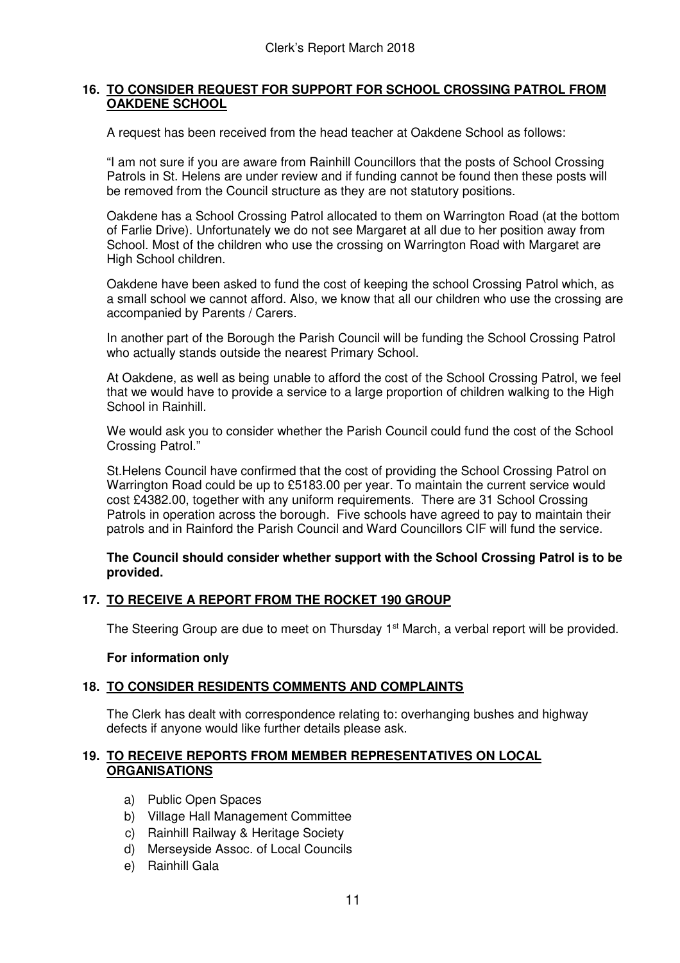## **16. TO CONSIDER REQUEST FOR SUPPORT FOR SCHOOL CROSSING PATROL FROM OAKDENE SCHOOL**

A request has been received from the head teacher at Oakdene School as follows:

"I am not sure if you are aware from Rainhill Councillors that the posts of School Crossing Patrols in St. Helens are under review and if funding cannot be found then these posts will be removed from the Council structure as they are not statutory positions.

Oakdene has a School Crossing Patrol allocated to them on Warrington Road (at the bottom of Farlie Drive). Unfortunately we do not see Margaret at all due to her position away from School. Most of the children who use the crossing on Warrington Road with Margaret are High School children.

Oakdene have been asked to fund the cost of keeping the school Crossing Patrol which, as a small school we cannot afford. Also, we know that all our children who use the crossing are accompanied by Parents / Carers.

In another part of the Borough the Parish Council will be funding the School Crossing Patrol who actually stands outside the nearest Primary School.

At Oakdene, as well as being unable to afford the cost of the School Crossing Patrol, we feel that we would have to provide a service to a large proportion of children walking to the High School in Rainhill.

We would ask you to consider whether the Parish Council could fund the cost of the School Crossing Patrol."

St.Helens Council have confirmed that the cost of providing the School Crossing Patrol on Warrington Road could be up to £5183.00 per year. To maintain the current service would cost £4382.00, together with any uniform requirements. There are 31 School Crossing Patrols in operation across the borough. Five schools have agreed to pay to maintain their patrols and in Rainford the Parish Council and Ward Councillors CIF will fund the service.

### **The Council should consider whether support with the School Crossing Patrol is to be provided.**

## **17. TO RECEIVE A REPORT FROM THE ROCKET 190 GROUP**

The Steering Group are due to meet on Thursday 1<sup>st</sup> March, a verbal report will be provided.

### **For information only**

### **18. TO CONSIDER RESIDENTS COMMENTS AND COMPLAINTS**

The Clerk has dealt with correspondence relating to: overhanging bushes and highway defects if anyone would like further details please ask.

### **19. TO RECEIVE REPORTS FROM MEMBER REPRESENTATIVES ON LOCAL ORGANISATIONS**

- a) Public Open Spaces
- b) Village Hall Management Committee
- c) Rainhill Railway & Heritage Society
- d) Merseyside Assoc. of Local Councils
- e) Rainhill Gala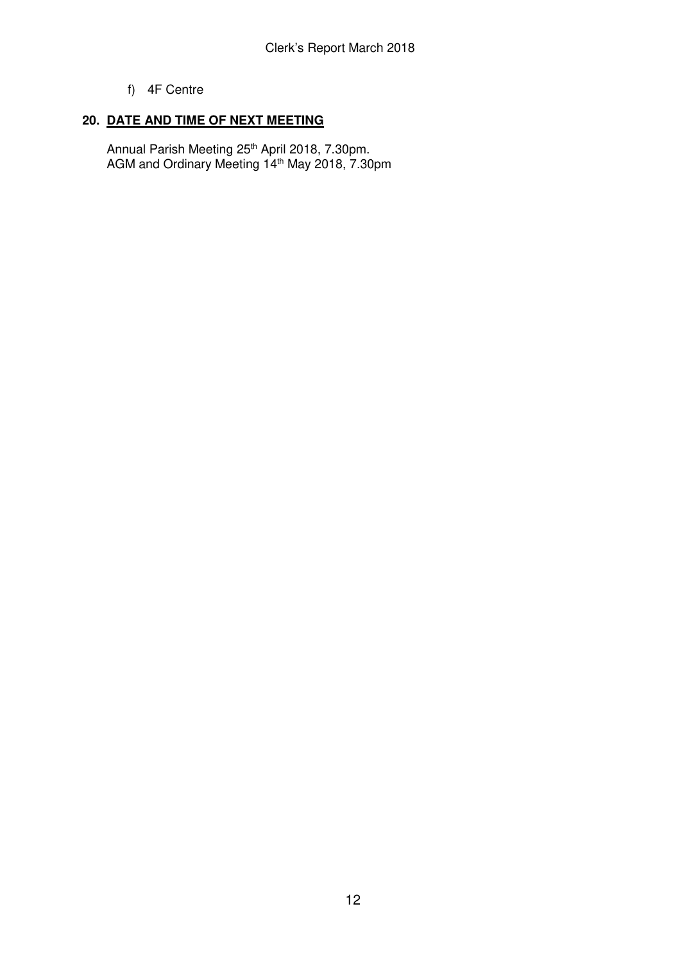## f) 4F Centre

## **20. DATE AND TIME OF NEXT MEETING**

Annual Parish Meeting 25<sup>th</sup> April 2018, 7.30pm. AGM and Ordinary Meeting 14<sup>th</sup> May 2018, 7.30pm